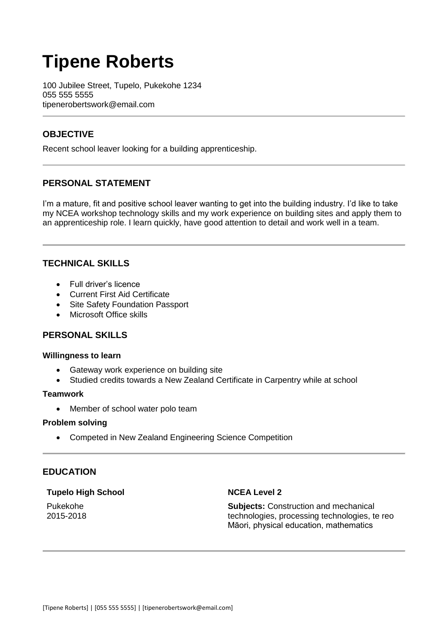# **Tipene Roberts**

100 Jubilee Street, Tupelo, Pukekohe 1234 055 555 5555 tipenerobertswork@email.com

# **OBJECTIVE**

Recent school leaver looking for a building apprenticeship.

# **PERSONAL STATEMENT**

I'm a mature, fit and positive school leaver wanting to get into the building industry. I'd like to take my NCEA workshop technology skills and my work experience on building sites and apply them to an apprenticeship role. I learn quickly, have good attention to detail and work well in a team.

# **TECHNICAL SKILLS**

- Full driver's licence
- Current First Aid Certificate
- Site Safety Foundation Passport
- Microsoft Office skills

# **PERSONAL SKILLS**

## **Willingness to learn**

- Gateway work experience on building site
- Studied credits towards a New Zealand Certificate in Carpentry while at school

## **Teamwork**

• Member of school water polo team

## **Problem solving**

Competed in New Zealand Engineering Science Competition

## **EDUCATION**

## **Tupelo High School**

**NCEA Level 2**

Pukekohe 2015-2018

**Subjects:** Construction and mechanical technologies, processing technologies, te reo Māori, physical education, mathematics